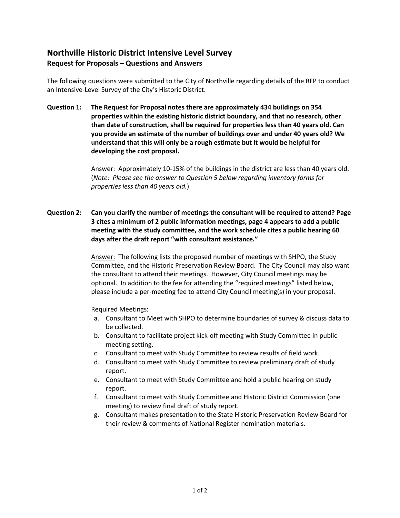## **Northville Historic District Intensive Level Survey Request for Proposals – Questions and Answers**

The following questions were submitted to the City of Northville regarding details of the RFP to conduct an Intensive-Level Survey of the City's Historic District.

**Question 1: The Request for Proposal notes there are approximately 434 buildings on 354 properties within the existing historic district boundary, and that no research, other than date of construction, shall be required for properties less than 40 years old. Can you provide an estimate of the number of buildings over and under 40 years old? We understand that this will only be a rough estimate but it would be helpful for developing the cost proposal.**

> Answer: Approximately 10-15% of the buildings in the district are less than 40 years old. (*Note: Please see the answer to Question 5 below regarding inventory forms for properties less than 40 years old.*)

**Question 2: Can you clarify the number of meetings the consultant will be required to attend? Page 3 cites a minimum of 2 public information meetings, page 4 appears to add a public meeting with the study committee, and the work schedule cites a public hearing 60 days after the draft report "with consultant assistance."** 

> Answer: The following lists the proposed number of meetings with SHPO, the Study Committee, and the Historic Preservation Review Board. The City Council may also want the consultant to attend their meetings. However, City Council meetings may be optional. In addition to the fee for attending the "required meetings" listed below, please include a per-meeting fee to attend City Council meeting(s) in your proposal.

Required Meetings:

- a. Consultant to Meet with SHPO to determine boundaries of survey & discuss data to be collected.
- b. Consultant to facilitate project kick-off meeting with Study Committee in public meeting setting.
- c. Consultant to meet with Study Committee to review results of field work.
- d. Consultant to meet with Study Committee to review preliminary draft of study report.
- e. Consultant to meet with Study Committee and hold a public hearing on study report.
- f. Consultant to meet with Study Committee and Historic District Commission (one meeting) to review final draft of study report.
- g. Consultant makes presentation to the State Historic Preservation Review Board for their review & comments of National Register nomination materials.